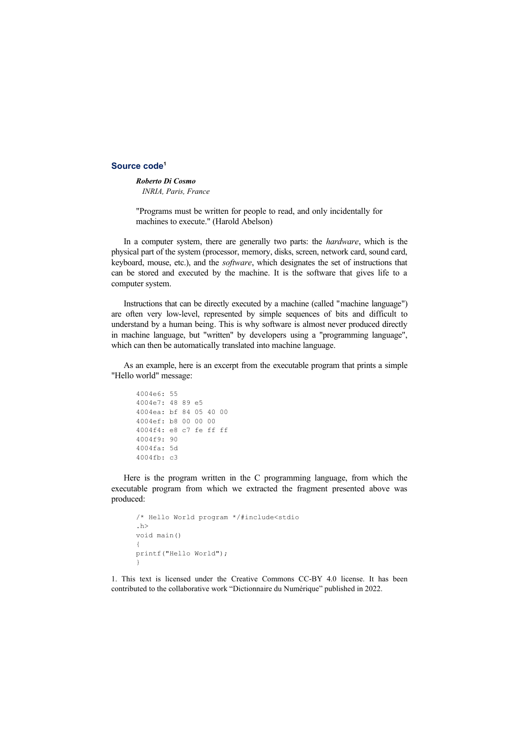## **Source code[1](#page-0-0)**

*Roberto Di Cosmo INRIA, Paris, France*

"Programs must be written for people to read, and only incidentally for machines to execute." (Harold Abelson)

In a computer system, there are generally two parts: the *hardware*, which is the physical part of the system (processor, memory, disks, screen, network card, sound card, keyboard, mouse, etc.), and the *software*, which designates the set of instructions that can be stored and executed by the machine. It is the software that gives life to a computer system.

Instructions that can be directly executed by a machine (called "machine language") are often very low-level, represented by simple sequences of bits and difficult to understand by a human being. This is why software is almost never produced directly in machine language, but "written" by developers using a "programming language", which can then be automatically translated into machine language.

As an example, here is an excerpt from the executable program that prints a simple "Hello world" message:

```
4004e6: 55 
4004e7: 48 89 e5 
4004ea: bf 84 05 40 00 
4004ef: b8 00 00 00 
4004f4: e8 c7 fe ff ff 
4004f9: 90 
4004fa: 5d 
4004fb: c3
```
Here is the program written in the C programming language, from which the executable program from which we extracted the fragment presented above was produced:

```
/* Hello World program */#include<stdio
.h> 
void main()
{ 
printf("Hello World"); 
}
```
<span id="page-0-0"></span>1. This text is licensed under the Creative Commons CC-BY 4.0 license. It has been contributed to the collaborative work "Dictionnaire du Numérique" published in 2022.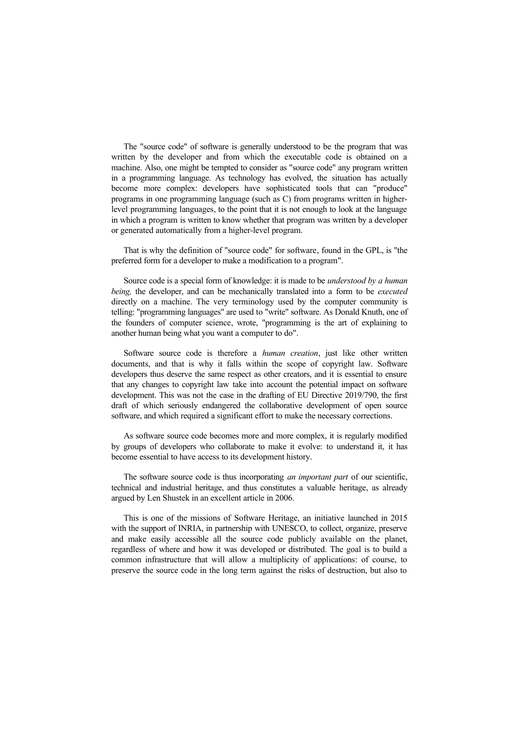The "source code" of software is generally understood to be the program that was written by the developer and from which the executable code is obtained on a machine. Also, one might be tempted to consider as "source code" any program written in a programming language. As technology has evolved, the situation has actually become more complex: developers have sophisticated tools that can "produce" programs in one programming language (such as C) from programs written in higherlevel programming languages, to the point that it is not enough to look at the language in which a program is written to know whether that program was written by a developer or generated automatically from a higher-level program.

That is why the definition of "source code" for software, found in the GPL, is "the preferred form for a developer to make a modification to a program".

Source code is a special form of knowledge: it is made to be *understood by a human being,* the developer, and can be mechanically translated into a form to be *executed* directly on a machine. The very terminology used by the computer community is telling: "programming languages" are used to "write" software. As Donald Knuth, one of the founders of computer science, wrote, "programming is the art of explaining to another human being what you want a computer to do".

Software source code is therefore a *human creation*, just like other written documents, and that is why it falls within the scope of copyright law. Software developers thus deserve the same respect as other creators, and it is essential to ensure that any changes to copyright law take into account the potential impact on software development. This was not the case in the drafting of EU Directive 2019/790, the first draft of which seriously endangered the collaborative development of open source software, and which required a significant effort to make the necessary corrections.

As software source code becomes more and more complex, it is regularly modified by groups of developers who collaborate to make it evolve: to understand it, it has become essential to have access to its development history.

The software source code is thus incorporating *an important part* of our scientific, technical and industrial heritage, and thus constitutes a valuable heritage, as already argued by Len Shustek in an excellent article in 2006.

This is one of the missions of Software Heritage, an initiative launched in 2015 with the support of INRIA, in partnership with UNESCO, to collect, organize, preserve and make easily accessible all the source code publicly available on the planet, regardless of where and how it was developed or distributed. The goal is to build a common infrastructure that will allow a multiplicity of applications: of course, to preserve the source code in the long term against the risks of destruction, but also to